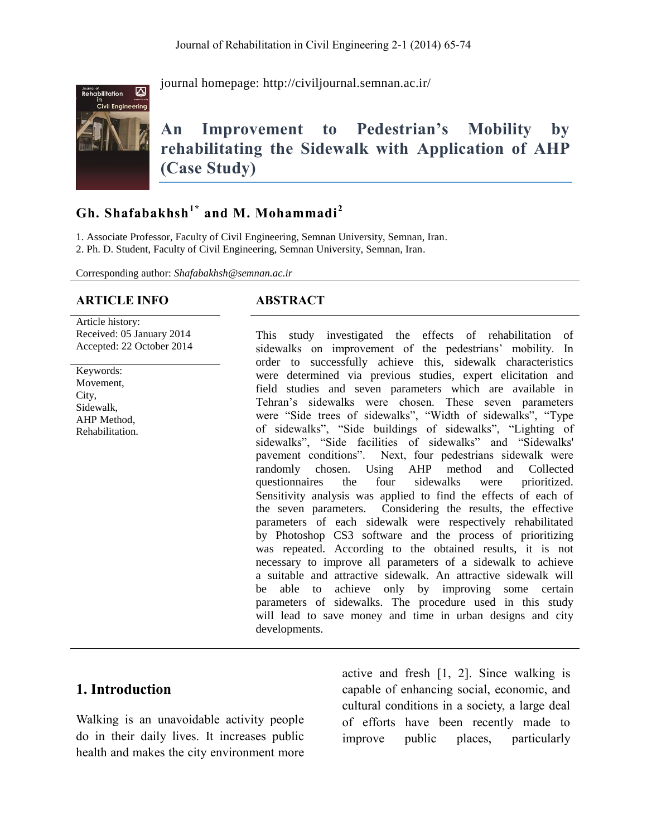

journal homepage:<http://civiljournal.semnan.ac.ir/>

# **An Improvement to Pedestrian's Mobility by rehabilitating the Sidewalk with Application of AHP (Case Study)**

# **Gh. Shafabakhsh1\* and M. Mohammadi<sup>2</sup>**

1. Associate Professor, Faculty of Civil Engineering, Semnan University, Semnan, Iran. 2. Ph. D. Student, Faculty of Civil Engineering, Semnan University, Semnan, Iran.

Corresponding author: *Shafabakhsh@semnan.ac.ir*

#### **ARTICLE INFO ABSTRACT**

Article history: Received: 05 January 2014 Accepted: 22 October 2014

Keywords: Movement, City, Sidewalk, AHP Method, Rehabilitation.

This study investigated the effects of rehabilitation of sidewalks on improvement of the pedestrians' mobility. In order to successfully achieve this, sidewalk characteristics were determined via previous studies, expert elicitation and field studies and seven parameters which are available in Tehran's sidewalks were chosen. These seven parameters were "Side trees of sidewalks", "Width of sidewalks", "Type of sidewalks", "Side buildings of sidewalks", "Lighting of sidewalks", "Side facilities of sidewalks" and "Sidewalks' pavement conditions". Next, four pedestrians sidewalk were randomly chosen. Using AHP method and Collected questionnaires the four sidewalks were prioritized. Sensitivity analysis was applied to find the effects of each of the seven parameters. Considering the results, the effective parameters of each sidewalk were respectively rehabilitated by Photoshop CS3 software and the process of prioritizing was repeated. According to the obtained results, it is not necessary to improve all parameters of a sidewalk to achieve a suitable and attractive sidewalk. An attractive sidewalk will be able to achieve only by improving some certain parameters of sidewalks. The procedure used in this study will lead to save money and time in urban designs and city developments.

#### **1. Introduction**

Walking is an unavoidable activity people do in their daily lives. It increases public health and makes the city environment more

active and fresh [1, 2]. Since walking is capable of enhancing social, economic, and cultural conditions in a society, a large deal of efforts have been recently made to improve public places, particularly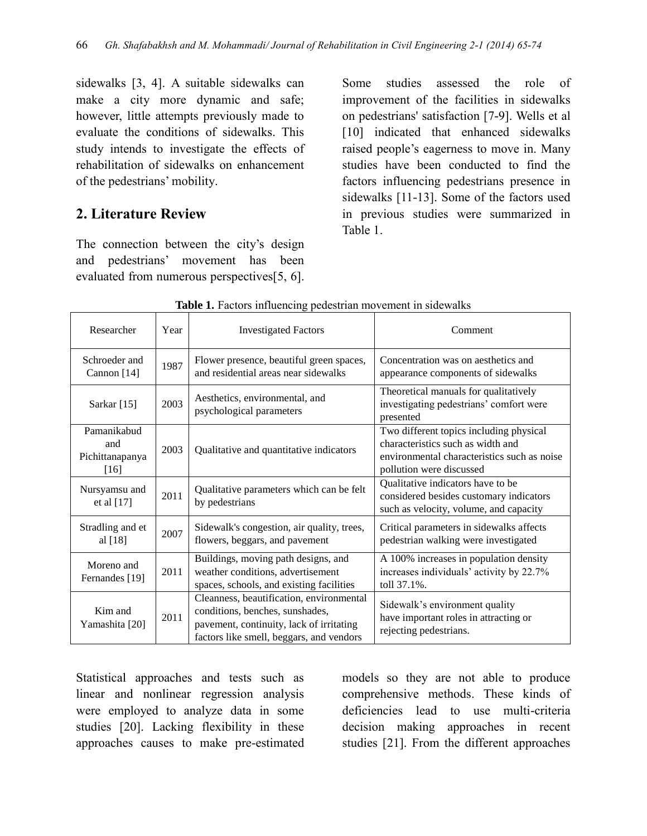sidewalks [3, 4]. A suitable sidewalks can make a city more dynamic and safe; however, little attempts previously made to evaluate the conditions of sidewalks. This study intends to investigate the effects of rehabilitation of sidewalks on enhancement of the pedestrians' mobility.

# **2. Literature Review**

The connection between the city's design and pedestrians' movement has been evaluated from numerous perspectives[5, 6]. Some studies assessed the role of improvement of the facilities in sidewalks on pedestrians' satisfaction [7-9]. Wells et al [10] indicated that enhanced sidewalks raised people's eagerness to move in. Many studies have been conducted to find the factors influencing pedestrians presence in sidewalks [11-13]. Some of the factors used in previous studies were summarized in Table 1.

| Researcher                                      | Year                                                                                 | <b>Investigated Factors</b>                                                                                                                                         | Comment                                                                                                                                                 |  |
|-------------------------------------------------|--------------------------------------------------------------------------------------|---------------------------------------------------------------------------------------------------------------------------------------------------------------------|---------------------------------------------------------------------------------------------------------------------------------------------------------|--|
| Schroeder and<br>Cannon [14]                    | 1987                                                                                 | Flower presence, beautiful green spaces,<br>and residential areas near sidewalks                                                                                    | Concentration was on aesthetics and<br>appearance components of sidewalks                                                                               |  |
| Sarkar $[15]$                                   | 2003                                                                                 | Aesthetics, environmental, and<br>psychological parameters                                                                                                          | Theoretical manuals for qualitatively<br>investigating pedestrians' comfort were<br>presented                                                           |  |
| Pamanikabud<br>and<br>Pichittanapanya<br>$[16]$ | 2003                                                                                 | Qualitative and quantitative indicators                                                                                                                             | Two different topics including physical<br>characteristics such as width and<br>environmental characteristics such as noise<br>pollution were discussed |  |
| Nursyamsu and<br>et al [17]                     | 2011                                                                                 | Qualitative parameters which can be felt<br>by pedestrians                                                                                                          | Qualitative indicators have to be<br>considered besides customary indicators<br>such as velocity, volume, and capacity                                  |  |
| Stradling and et<br>al [18]                     | Sidewalk's congestion, air quality, trees,<br>2007<br>flowers, beggars, and pavement |                                                                                                                                                                     | Critical parameters in sidewalks affects<br>pedestrian walking were investigated                                                                        |  |
| Moreno and<br>Fernandes [19]                    | 2011                                                                                 | Buildings, moving path designs, and<br>weather conditions, advertisement<br>spaces, schools, and existing facilities                                                | A 100% increases in population density<br>increases individuals' activity by 22.7%<br>toll 37.1%.                                                       |  |
| Kim and<br>Yamashita [20]                       | 2011                                                                                 | Cleanness, beautification, environmental<br>conditions, benches, sunshades,<br>pavement, continuity, lack of irritating<br>factors like smell, beggars, and vendors | Sidewalk's environment quality<br>have important roles in attracting or<br>rejecting pedestrians.                                                       |  |

**Table 1.** Factors influencing pedestrian movement in sidewalks

Statistical approaches and tests such as linear and nonlinear regression analysis were employed to analyze data in some studies [20]. Lacking flexibility in these approaches causes to make pre-estimated models so they are not able to produce comprehensive methods. These kinds of deficiencies lead to use multi-criteria decision making approaches in recent studies [21]. From the different approaches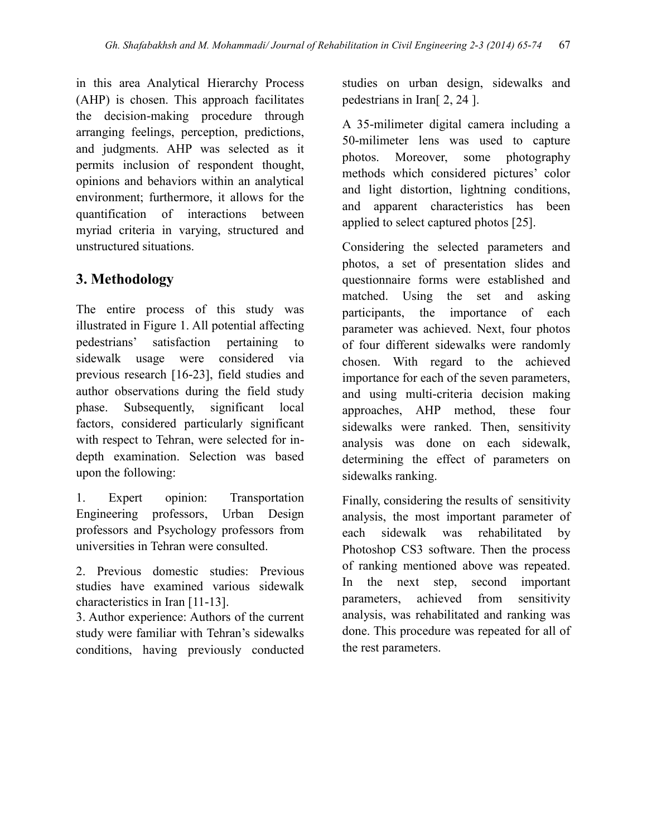in this area Analytical Hierarchy Process (AHP) is chosen. This approach facilitates the decision-making procedure through arranging feelings, perception, predictions, and judgments. AHP was selected as it permits inclusion of respondent thought, opinions and behaviors within an analytical environment; furthermore, it allows for the quantification of interactions between myriad criteria in varying, structured and unstructured situations.

# **3. Methodology**

The entire process of this study was illustrated in Figure 1. All potential affecting pedestrians' satisfaction pertaining to sidewalk usage were considered via previous research [16-23], field studies and author observations during the field study phase. Subsequently, significant local factors, considered particularly significant with respect to Tehran, were selected for indepth examination. Selection was based upon the following:

1. Expert opinion: Transportation Engineering professors, Urban Design professors and Psychology professors from universities in Tehran were consulted.

2. Previous domestic studies: Previous studies have examined various sidewalk characteristics in Iran [11-13].

3. Author experience: Authors of the current study were familiar with Tehran's sidewalks conditions, having previously conducted

studies on urban design, sidewalks and pedestrians in Iran[ 2, 24 ].

A 35-milimeter digital camera including a 50-milimeter lens was used to capture photos. Moreover, some photography methods which considered pictures' color and light distortion, lightning conditions, and apparent characteristics has been applied to select captured photos [25].

Considering the selected parameters and photos, a set of presentation slides and questionnaire forms were established and matched. Using the set and asking participants, the importance of each parameter was achieved. Next, four photos of four different sidewalks were randomly chosen. With regard to the achieved importance for each of the seven parameters, and using multi-criteria decision making approaches, AHP method, these four sidewalks were ranked. Then, sensitivity analysis was done on each sidewalk, determining the effect of parameters on sidewalks ranking.

Finally, considering the results of sensitivity analysis, the most important parameter of each sidewalk was rehabilitated by Photoshop CS3 software. Then the process of ranking mentioned above was repeated. In the next step, second important parameters, achieved from sensitivity analysis, was rehabilitated and ranking was done. This procedure was repeated for all of the rest parameters.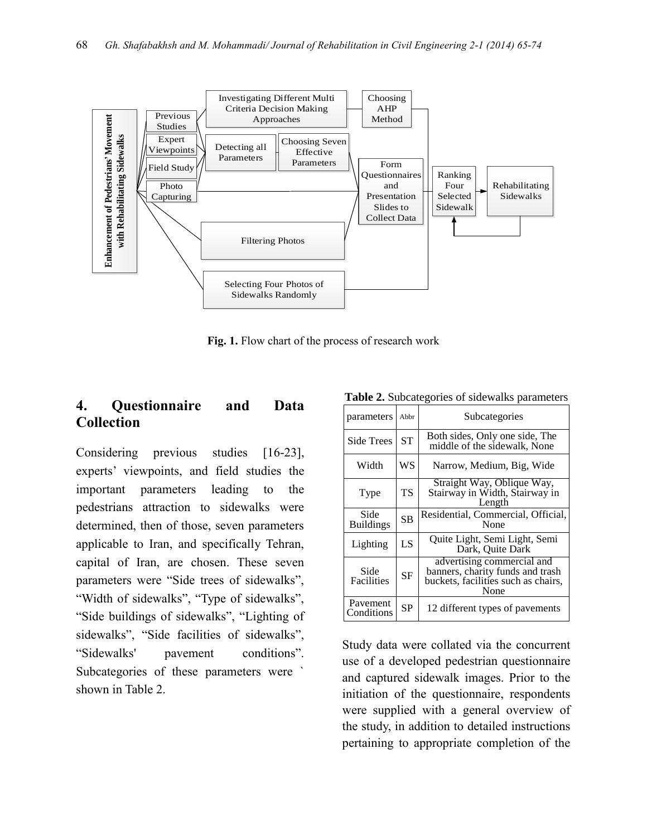

**Fig. 1.** Flow chart of the process of research work

# **4. Questionnaire and Data Collection**

Considering previous studies [16-23], experts' viewpoints, and field studies the important parameters leading to the pedestrians attraction to sidewalks were determined, then of those, seven parameters applicable to Iran, and specifically Tehran, capital of Iran, are chosen. These seven parameters were "Side trees of sidewalks", "Width of sidewalks", "Type of sidewalks", "Side buildings of sidewalks", "Lighting of sidewalks", "Side facilities of sidewalks", "Sidewalks' pavement conditions". Subcategories of these parameters were ` shown in Table 2.

| <b>rapic 2.</b> Subcategories or sidewalks parameters |           |                                                                                                               |  |  |  |
|-------------------------------------------------------|-----------|---------------------------------------------------------------------------------------------------------------|--|--|--|
| parameters                                            | Abbr      | Subcategories                                                                                                 |  |  |  |
| <b>Side Trees</b>                                     | ST        | Both sides, Only one side, The<br>middle of the sidewalk, None                                                |  |  |  |
| Width                                                 | WS        | Narrow, Medium, Big, Wide                                                                                     |  |  |  |
| Type                                                  | TS        | Straight Way, Oblique Way,<br>Stairway in Width, Stairway in<br>Length                                        |  |  |  |
| Side<br><b>Buildings</b>                              | <b>SB</b> | Residential, Commercial, Official,<br>None                                                                    |  |  |  |
| Lighting                                              | LS        | Quite Light, Semi Light, Semi<br>Dark, Quite Dark                                                             |  |  |  |
| Side<br>Facilities                                    | <b>SF</b> | advertising commercial and<br>banners, charity funds and trash<br>buckets, facilities such as chairs,<br>None |  |  |  |
| Pavement<br>Conditions                                | <b>SP</b> | 12 different types of pavements                                                                               |  |  |  |

**Table 2.** Subcategories of sidewalks parameters

Study data were collated via the concurrent use of a developed pedestrian questionnaire and captured sidewalk images. Prior to the initiation of the questionnaire, respondents were supplied with a general overview of the study, in addition to detailed instructions pertaining to appropriate completion of the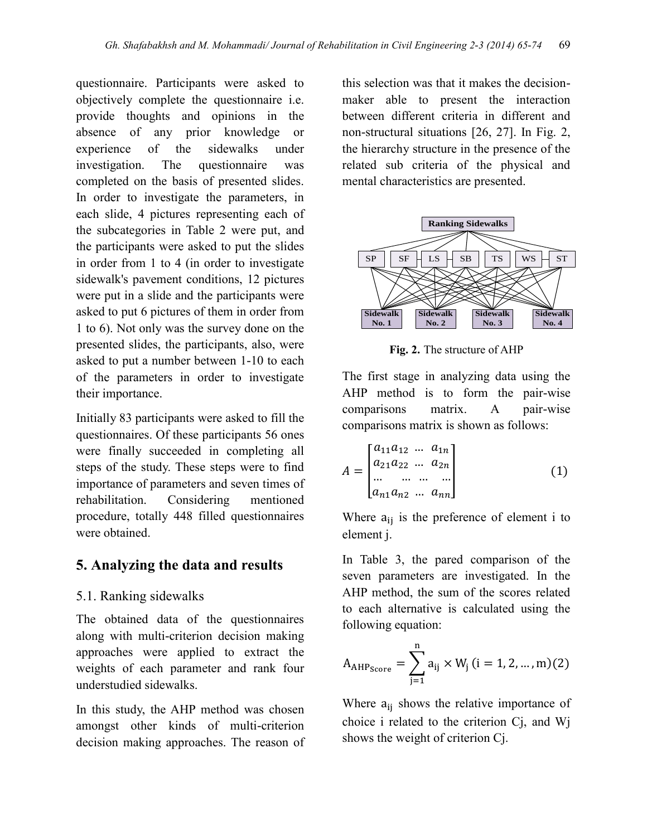questionnaire. Participants were asked to objectively complete the questionnaire i.e. provide thoughts and opinions in the absence of any prior knowledge or experience of the sidewalks under investigation. The questionnaire was completed on the basis of presented slides. In order to investigate the parameters, in each slide, 4 pictures representing each of the subcategories in Table 2 were put, and the participants were asked to put the slides in order from 1 to 4 (in order to investigate sidewalk's pavement conditions, 12 pictures were put in a slide and the participants were asked to put 6 pictures of them in order from 1 to 6). Not only was the survey done on the presented slides, the participants, also, were asked to put a number between 1-10 to each of the parameters in order to investigate their importance.

Initially 83 participants were asked to fill the questionnaires. Of these participants 56 ones were finally succeeded in completing all steps of the study. These steps were to find importance of parameters and seven times of rehabilitation. Considering mentioned procedure, totally 448 filled questionnaires were obtained.

## **5. Analyzing the data and results**

#### 5.1. Ranking sidewalks

The obtained data of the questionnaires along with multi-criterion decision making approaches were applied to extract the weights of each parameter and rank four understudied sidewalks.

In this study, the AHP method was chosen amongst other kinds of multi-criterion decision making approaches. The reason of this selection was that it makes the decisionmaker able to present the interaction between different criteria in different and non-structural situations [26, 27]. In Fig. 2, the hierarchy structure in the presence of the related sub criteria of the physical and mental characteristics are presented.



**Fig. 2.** The structure of AHP

The first stage in analyzing data using the AHP method is to form the pair-wise comparisons matrix. A pair-wise comparisons matrix is shown as follows:

$$
A = \begin{bmatrix} a_{11}a_{12} & \dots & a_{1n} \\ a_{21}a_{22} & \dots & a_{2n} \\ \dots & \dots & \dots & \dots \\ a_{n1}a_{n2} & \dots & a_{nn} \end{bmatrix}
$$
 (1)

Where  $a_{ij}$  is the preference of element i to element j.

In Table 3, the pared comparison of the seven parameters are investigated. In the AHP method, the sum of the scores related to each alternative is calculated using the following equation:

$$
A_{AHP_{Score}} = \sum_{j=1}^{n} a_{ij} \times W_j \ (i = 1, 2, ..., m)
$$

Where  $a_{ii}$  shows the relative importance of choice i related to the criterion Cj, and Wj shows the weight of criterion Cj.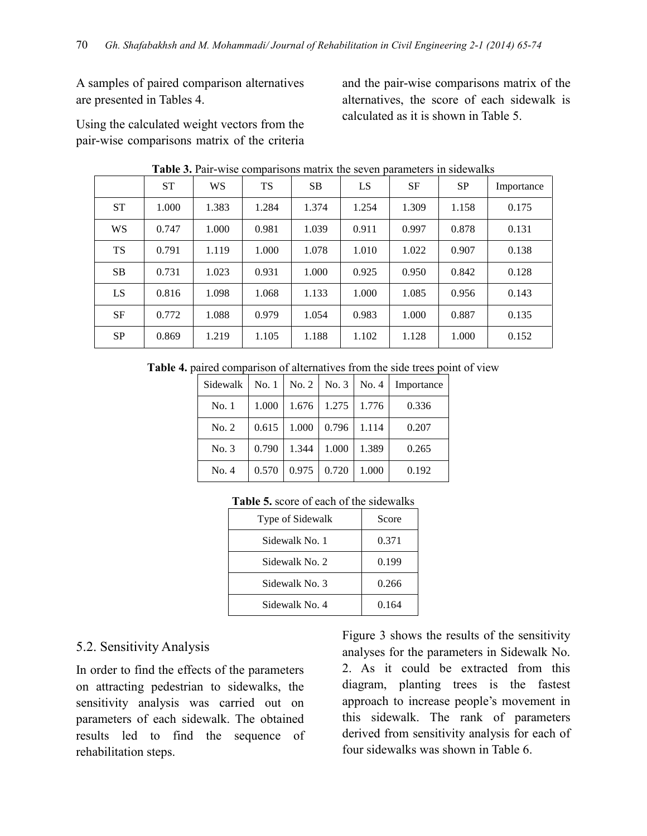A samples of paired comparison alternatives are presented in Tables 4.

Using the calculated weight vectors from the pair-wise comparisons matrix of the criteria and the pair-wise comparisons matrix of the alternatives, the score of each sidewalk is calculated as it is shown in Table 5.

|           | <b>ST</b> | WS    | <b>TS</b> | <b>SB</b> | LS    | <b>SF</b> | <b>SP</b> | Importance |
|-----------|-----------|-------|-----------|-----------|-------|-----------|-----------|------------|
| <b>ST</b> | 1.000     | 1.383 | 1.284     | 1.374     | 1.254 | 1.309     | 1.158     | 0.175      |
| <b>WS</b> | 0.747     | 1.000 | 0.981     | 1.039     | 0.911 | 0.997     | 0.878     | 0.131      |
| <b>TS</b> | 0.791     | 1.119 | 1.000     | 1.078     | 1.010 | 1.022     | 0.907     | 0.138      |
| <b>SB</b> | 0.731     | 1.023 | 0.931     | 1.000     | 0.925 | 0.950     | 0.842     | 0.128      |
| LS        | 0.816     | 1.098 | 1.068     | 1.133     | 1.000 | 1.085     | 0.956     | 0.143      |
| SF        | 0.772     | 1.088 | 0.979     | 1.054     | 0.983 | 1.000     | 0.887     | 0.135      |
| <b>SP</b> | 0.869     | 1.219 | 1.105     | 1.188     | 1.102 | 1.128     | 1.000     | 0.152      |

**Table 3.** Pair-wise comparisons matrix the seven parameters in sidewalks

**Table 4.** paired comparison of alternatives from the side trees point of view

| Sidewalk | No. 1 | No. 2 | No. 3 | No. 4 | Importance |
|----------|-------|-------|-------|-------|------------|
| No.1     | 1.000 | 1.676 | 1.275 | 1.776 | 0.336      |
| No. 2    | 0.615 | 1.000 | 0.796 | 1.114 | 0.207      |
| No. 3    | 0.790 | 1.344 | 1.000 | 1.389 | 0.265      |
| No. 4    | 0.570 | 0.975 | 0.720 | 1.000 | 0.192      |

| Table 5. score of each of the sidewalks |  |  |  |
|-----------------------------------------|--|--|--|
|-----------------------------------------|--|--|--|

| Type of Sidewalk | Score |
|------------------|-------|
| Sidewalk No. 1   | 0.371 |
| Sidewalk No. 2   | 0.199 |
| Sidewalk No. 3   | 0.266 |
| Sidewalk No. 4   | 0.164 |

#### 5.2. Sensitivity Analysis

In order to find the effects of the parameters on attracting pedestrian to sidewalks, the sensitivity analysis was carried out on parameters of each sidewalk. The obtained results led to find the sequence of rehabilitation steps.

Figure 3 shows the results of the sensitivity analyses for the parameters in Sidewalk No. 2. As it could be extracted from this diagram, planting trees is the fastest approach to increase people's movement in this sidewalk. The rank of parameters derived from sensitivity analysis for each of four sidewalks was shown in Table 6.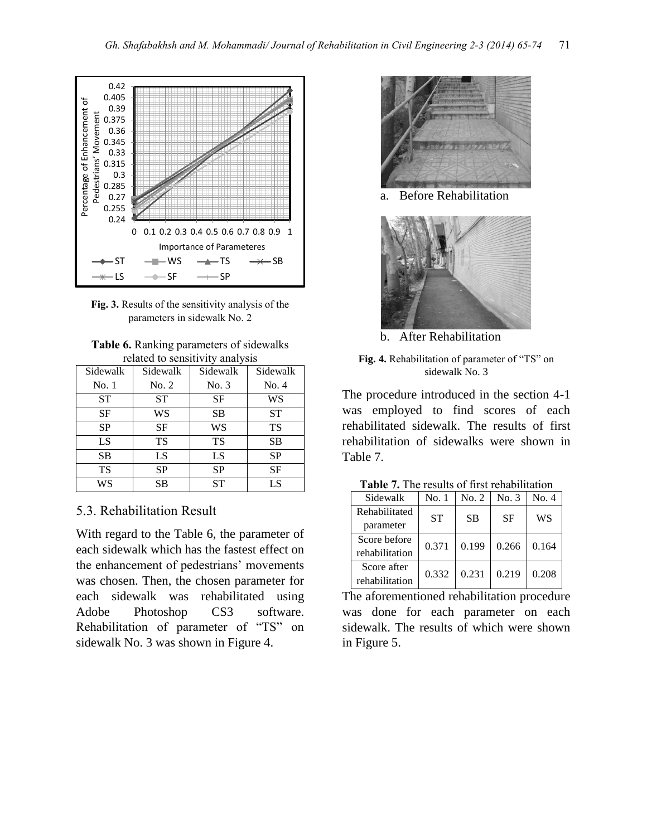



| <b>Table 6.</b> Ranking parameters of sidewalks |
|-------------------------------------------------|
| related to sensitivity analysis                 |

|           | renated to behore they amany sho |           |           |  |  |  |  |
|-----------|----------------------------------|-----------|-----------|--|--|--|--|
| Sidewalk  | Sidewalk                         | Sidewalk  | Sidewalk  |  |  |  |  |
| No. 1     | No. 2                            | No. 3     | No. 4     |  |  |  |  |
| <b>ST</b> | <b>ST</b>                        | SF        | WS        |  |  |  |  |
| SF        | WS                               | <b>SB</b> | <b>ST</b> |  |  |  |  |
| <b>SP</b> | <b>SF</b>                        | WS        | TS        |  |  |  |  |
| LS        | <b>TS</b>                        | <b>TS</b> | <b>SB</b> |  |  |  |  |
| <b>SB</b> | LS                               | LS        | <b>SP</b> |  |  |  |  |
| TS        | <b>SP</b>                        | <b>SP</b> | <b>SF</b> |  |  |  |  |
| WS        | <b>SB</b>                        | <b>ST</b> | LS        |  |  |  |  |

#### 5.3. Rehabilitation Result

With regard to the Table 6, the parameter of each sidewalk which has the fastest effect on the enhancement of pedestrians' movements was chosen. Then, the chosen parameter for each sidewalk was rehabilitated using Adobe Photoshop CS3 software. Rehabilitation of parameter of "TS" on sidewalk No. 3 was shown in Figure 4.



a. Before Rehabilitation



b. After Rehabilitation



The procedure introduced in the section 4-1 was employed to find scores of each rehabilitated sidewalk. The results of first rehabilitation of sidewalks were shown in Table 7.

| Sidewalk       | No. 1     | No. 2     | No. 3     | No. 4 |  |
|----------------|-----------|-----------|-----------|-------|--|
| Rehabilitated  | <b>ST</b> | <b>SB</b> | <b>SF</b> | WS    |  |
| parameter      |           |           |           |       |  |
| Score before   | 0.371     | 0.199     | 0.266     | 0.164 |  |
| rehabilitation |           |           |           |       |  |
| Score after    | 0.332     | 0.231     | 0.219     | 0.208 |  |
| rehabilitation |           |           |           |       |  |

The aforementioned rehabilitation procedure was done for each parameter on each sidewalk. The results of which were shown in Figure 5.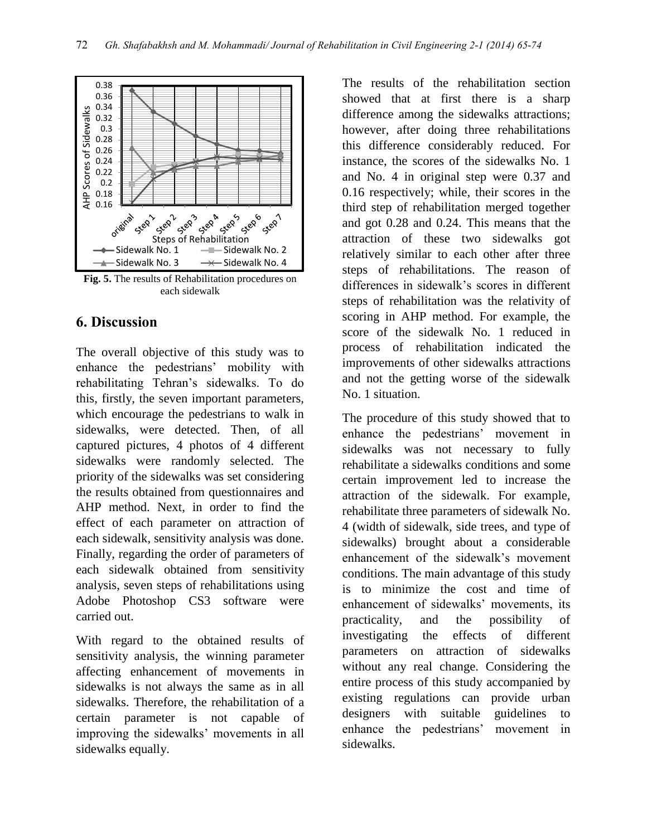

**Fig. 5.** The results of Rehabilitation procedures on each sidewalk

### **6. Discussion**

The overall objective of this study was to enhance the pedestrians' mobility with rehabilitating Tehran's sidewalks. To do this, firstly, the seven important parameters, which encourage the pedestrians to walk in sidewalks, were detected. Then, of all captured pictures, 4 photos of 4 different sidewalks were randomly selected. The priority of the sidewalks was set considering the results obtained from questionnaires and AHP method. Next, in order to find the effect of each parameter on attraction of each sidewalk, sensitivity analysis was done. Finally, regarding the order of parameters of each sidewalk obtained from sensitivity analysis, seven steps of rehabilitations using Adobe Photoshop CS3 software were carried out.

With regard to the obtained results of sensitivity analysis, the winning parameter affecting enhancement of movements in sidewalks is not always the same as in all sidewalks. Therefore, the rehabilitation of a certain parameter is not capable of improving the sidewalks' movements in all sidewalks equally.

The results of the rehabilitation section showed that at first there is a sharp difference among the sidewalks attractions; however, after doing three rehabilitations this difference considerably reduced. For instance, the scores of the sidewalks No. 1 and No. 4 in original step were 0.37 and 0.16 respectively; while, their scores in the third step of rehabilitation merged together and got 0.28 and 0.24. This means that the attraction of these two sidewalks got relatively similar to each other after three steps of rehabilitations. The reason of differences in sidewalk's scores in different steps of rehabilitation was the relativity of scoring in AHP method. For example, the score of the sidewalk No. 1 reduced in process of rehabilitation indicated the improvements of other sidewalks attractions and not the getting worse of the sidewalk No. 1 situation.

The procedure of this study showed that to enhance the pedestrians' movement in sidewalks was not necessary to fully rehabilitate a sidewalks conditions and some certain improvement led to increase the attraction of the sidewalk. For example, rehabilitate three parameters of sidewalk No. 4 (width of sidewalk, side trees, and type of sidewalks) brought about a considerable enhancement of the sidewalk's movement conditions. The main advantage of this study is to minimize the cost and time of enhancement of sidewalks' movements, its practicality, and the possibility of investigating the effects of different parameters on attraction of sidewalks without any real change. Considering the entire process of this study accompanied by existing regulations can provide urban designers with suitable guidelines to enhance the pedestrians' movement in sidewalks.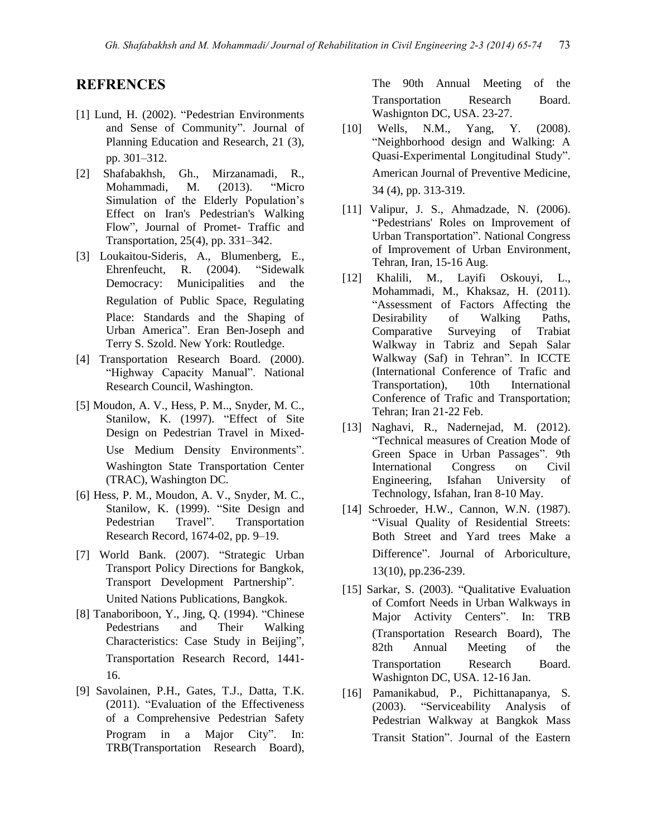#### **REFRENCES**

- [1] Lund, H. (2002). "Pedestrian Environments and Sense of Community". Journal of Planning Education and Research, 21 (3), pp. 301–312.
- [2] Shafabakhsh, Gh., Mirzanamadi, R., Mohammadi, M. (2013). "Micro Simulation of the Elderly Population's Effect on Iran's Pedestrian's Walking Flow", Journal of Promet- Traffic and Transportation, 25(4), pp. 331–342.
- [3] Loukaitou-Sideris, A., Blumenberg, E., Ehrenfeucht, R. (2004). "Sidewalk Democracy: Municipalities and the Regulation of Public Space, Regulating Place: Standards and the Shaping of Urban America". Eran Ben-Joseph and Terry S. Szold. New York: Routledge.
- [4] Transportation Research Board. (2000). "Highway Capacity Manual". National Research Council, Washington.
- [5] Moudon, A. V., Hess, P. M.., Snyder, M. C., Stanilow, K. (1997). "Effect of Site Design on Pedestrian Travel in Mixed-Use Medium Density Environments". Washington State Transportation Center (TRAC), Washington DC.
- [6] Hess, P. M., Moudon, A. V., Snyder, M. C., Stanilow, K. (1999). "Site Design and Pedestrian Travel". Transportation Research Record, 1674-02, pp. 9–19.
- [7] World Bank. (2007). "Strategic Urban Transport Policy Directions for Bangkok, Transport Development Partnership". United Nations Publications, Bangkok.
- [8] Tanaboriboon, Y., Jing, Q. (1994). "Chinese Pedestrians and Their Walking Characteristics: Case Study in Beijing", Transportation Research Record, 1441- 16.
- [9] Savolainen, P.H., Gates, T.J., Datta, T.K. (2011). "Evaluation of the Effectiveness of a Comprehensive Pedestrian Safety Program in a Major City". In: TRB(Transportation Research Board),

The 90th Annual Meeting of the Transportation Research Board. Washignton DC, USA. 23-27.

- [10] Wells, N.M., Yang, Y. (2008). "Neighborhood design and Walking: A Quasi-Experimental Longitudinal Study". American Journal of Preventive Medicine, 34 (4), pp. 313-319.
- [11] Valipur, J. S., Ahmadzade, N. (2006). "Pedestrians' Roles on Improvement of Urban Transportation". National Congress of Improvement of Urban Environment, Tehran, Iran, 15-16 Aug.
- [12] Khalili, M., Layifi Oskouyi, L., Mohammadi, M., Khaksaz, H. (2011). "Assessment of Factors Affecting the Desirability of Walking Paths, Comparative Surveying of Trabiat Walkway in Tabriz and Sepah Salar Walkway (Saf) in Tehran". In ICCTE (International Conference of Trafic and Transportation), 10th International Conference of Trafic and Transportation; Tehran; Iran 21-22 Feb.
- [13] Naghavi, R., Nadernejad, M. (2012). "Technical measures of Creation Mode of Green Space in Urban Passages". 9th International Congress on Civil Engineering, Isfahan University of Technology, Isfahan, Iran 8-10 May.
- [14] Schroeder, H.W., Cannon, W.N. (1987). "Visual Quality of Residential Streets: Both Street and Yard trees Make a Difference". Journal of Arboriculture, 13(10), pp.236-239.
- [15] Sarkar, S. (2003). "Qualitative Evaluation of Comfort Needs in Urban Walkways in Major Activity Centers". In: TRB (Transportation Research Board), The 82th Annual Meeting of the Transportation Research Board. Washignton DC, USA. 12-16 Jan.
- [16] Pamanikabud, P., Pichittanapanya, S. (2003). "Serviceability Analysis of Pedestrian Walkway at Bangkok Mass Transit Station". Journal of the Eastern